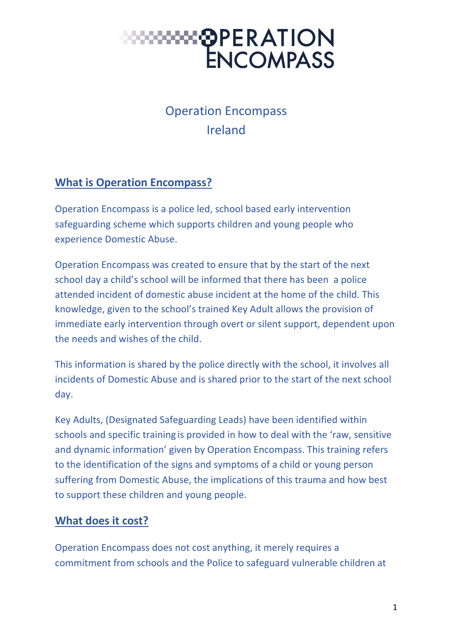#### Operation Encompass Ireland

#### **What is Operation Encompass?**

Operation Encompass is a police led, school based early intervention safeguarding scheme which supports children and young people who experience Domestic Abuse.

Operation Encompass was created to ensure that by the start of the next school day a child's school will be informed that there has been a police attended incident of domestic abuse incident at the home of the child. This knowledge, given to the school's trained Key Adult allows the provision of immediate early intervention through overt or silent support, dependent upon the needs and wishes of the child.

This information is shared by the police directly with the school, it involves all incidents of Domestic Abuse and is shared prior to the start of the next school day.

Key Adults, (Designated Safeguarding Leads) have been identified within schools and specific training is provided in how to deal with the 'raw, sensitive and dynamic information' given by Operation Encompass. This training refers to the identification of the signs and symptoms of a child or young person suffering from Domestic Abuse, the implications of this trauma and how best to support these children and young people.

#### **What does it cost?**

Operation Encompass does not cost anything, it merely requires a commitment from schools and the Police to safeguard vulnerable children at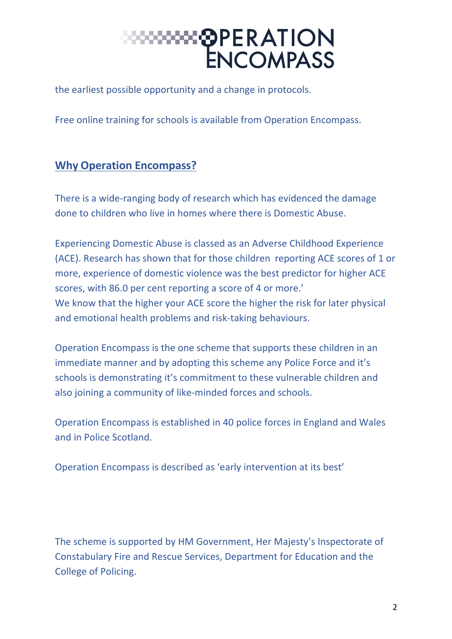the earliest possible opportunity and a change in protocols.

Free online training for schools is available from Operation Encompass.

#### **Why Operation Encompass?**

There is a wide-ranging body of research which has evidenced the damage done to children who live in homes where there is Domestic Abuse.

Experiencing Domestic Abuse is classed as an Adverse Childhood Experience (ACE). Research has shown that for those children reporting ACE scores of 1 or more, experience of domestic violence was the best predictor for higher ACE scores, with 86.0 per cent reporting a score of 4 or more.' We know that the higher your ACE score the higher the risk for later physical and emotional health problems and risk-taking behaviours.

Operation Encompass is the one scheme that supports these children in an immediate manner and by adopting this scheme any Police Force and it's schools is demonstrating it's commitment to these vulnerable children and also joining a community of like-minded forces and schools.

Operation Encompass is established in 40 police forces in England and Wales and in Police Scotland.

Operation Encompass is described as 'early intervention at its best'

The scheme is supported by HM Government, Her Majesty's Inspectorate of Constabulary Fire and Rescue Services, Department for Education and the College of Policing.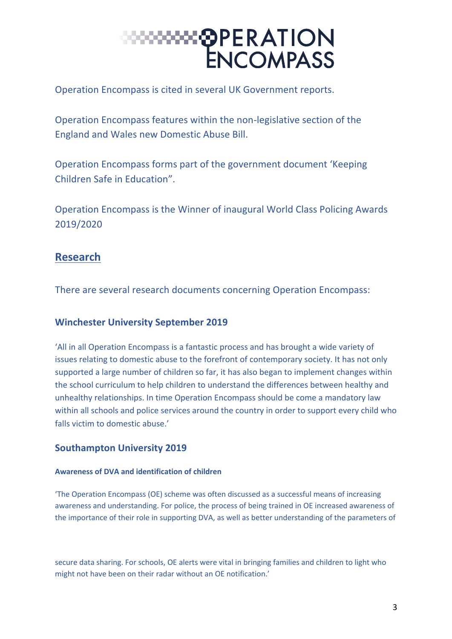Operation Encompass is cited in several UK Government reports.

Operation Encompass features within the non-legislative section of the England and Wales new Domestic Abuse Bill.

Operation Encompass forms part of the government document 'Keeping Children Safe in Education".

Operation Encompass is the Winner of inaugural World Class Policing Awards 2019/2020

#### **Research**

There are several research documents concerning Operation Encompass:

#### **Winchester University September 2019**

'All in all Operation Encompass is a fantastic process and has brought a wide variety of issues relating to domestic abuse to the forefront of contemporary society. It has not only supported a large number of children so far, it has also began to implement changes within the school curriculum to help children to understand the differences between healthy and unhealthy relationships. In time Operation Encompass should be come a mandatory law within all schools and police services around the country in order to support every child who falls victim to domestic abuse.'

#### **Southampton University 2019**

#### **Awareness of DVA and identification of children**

'The Operation Encompass (OE) scheme was often discussed as a successful means of increasing awareness and understanding. For police, the process of being trained in OE increased awareness of the importance of their role in supporting DVA, as well as better understanding of the parameters of

secure data sharing. For schools, OE alerts were vital in bringing families and children to light who might not have been on their radar without an OE notification.'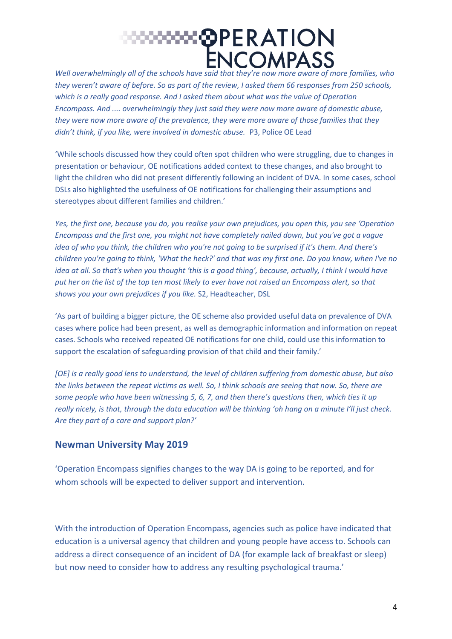*Well overwhelmingly all of the schools have said that they're now more aware of more families, who they weren't aware of before. So as part of the review, I asked them 66 responses from 250 schools, which is a really good response. And I asked them about what was the value of Operation Encompass. And .... overwhelmingly they just said they were now more aware of domestic abuse, they were now more aware of the prevalence, they were more aware of those families that they didn't think, if you like, were involved in domestic abuse.* P3, Police OE Lead

'While schools discussed how they could often spot children who were struggling, due to changes in presentation or behaviour, OE notifications added context to these changes, and also brought to light the children who did not present differently following an incident of DVA. In some cases, school DSLs also highlighted the usefulness of OE notifications for challenging their assumptions and stereotypes about different families and children.'

*Yes, the first one, because you do, you realise your own prejudices, you open this, you see 'Operation Encompass and the first one, you might not have completely nailed down, but you've got a vague idea of who you think, the children who you're not going to be surprised if it's them. And there's children you're going to think, 'What the heck?' and that was my first one. Do you know, when I've no idea at all. So that's when you thought 'this is a good thing', because, actually, I think I would have put her on the list of the top ten most likely to ever have not raised an Encompass alert, so that shows you your own prejudices if you like.* S2, Headteacher, DSL

'As part of building a bigger picture, the OE scheme also provided useful data on prevalence of DVA cases where police had been present, as well as demographic information and information on repeat cases. Schools who received repeated OE notifications for one child, could use this information to support the escalation of safeguarding provision of that child and their family.'

*[OE] is a really good lens to understand, the level of children suffering from domestic abuse, but also the links between the repeat victims as well. So, I think schools are seeing that now. So, there are some people who have been witnessing 5, 6, 7, and then there's questions then, which ties it up really nicely, is that, through the data education will be thinking 'oh hang on a minute I'll just check. Are they part of a care and support plan?'* 

#### **Newman University May 2019**

'Operation Encompass signifies changes to the way DA is going to be reported, and for whom schools will be expected to deliver support and intervention.

With the introduction of Operation Encompass, agencies such as police have indicated that education is a universal agency that children and young people have access to. Schools can address a direct consequence of an incident of DA (for example lack of breakfast or sleep) but now need to consider how to address any resulting psychological trauma.'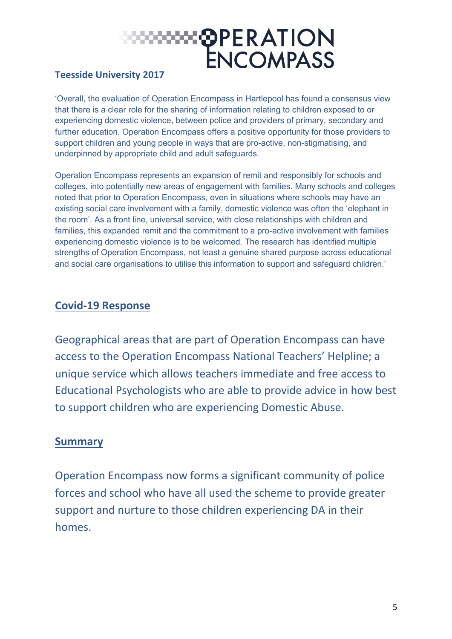### ःःःःः⊗PERATION ENCOMPASS

#### **Teesside University 2017**

'Overall, the evaluation of Operation Encompass in Hartlepool has found a consensus view that there is a clear role for the sharing of information relating to children exposed to or experiencing domestic violence, between police and providers of primary, secondary and further education. Operation Encompass offers a positive opportunity for those providers to support children and young people in ways that are pro-active, non-stigmatising, and underpinned by appropriate child and adult safeguards.

Operation Encompass represents an expansion of remit and responsibly for schools and colleges, into potentially new areas of engagement with families. Many schools and colleges noted that prior to Operation Encompass, even in situations where schools may have an existing social care involvement with a family, domestic violence was often the 'elephant in the room'. As a front line, universal service, with close relationships with children and families, this expanded remit and the commitment to a pro-active involvement with families experiencing domestic violence is to be welcomed. The research has identified multiple strengths of Operation Encompass, not least a genuine shared purpose across educational and social care organisations to utilise this information to support and safeguard children.'

#### **Covid-19 Response**

Geographical areas that are part of Operation Encompass can have access to the Operation Encompass National Teachers' Helpline; a unique service which allows teachers immediate and free access to Educational Psychologists who are able to provide advice in how best to support children who are experiencing Domestic Abuse.

#### **Summary**

Operation Encompass now forms a significant community of police forces and school who have all used the scheme to provide greater support and nurture to those children experiencing DA in their homes.